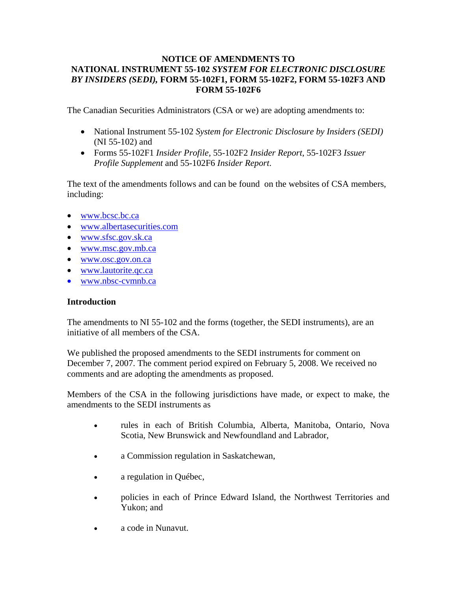# **NOTICE OF AMENDMENTS TO NATIONAL INSTRUMENT 55-102** *SYSTEM FOR ELECTRONIC DISCLOSURE BY INSIDERS (SEDI),* **FORM 55-102F1, FORM 55-102F2, FORM 55-102F3 AND FORM 55-102F6**

The Canadian Securities Administrators (CSA or we) are adopting amendments to:

- National Instrument 55-102 *System for Electronic Disclosure by Insiders (SEDI)* (NI 55-102) and
- Forms 55-102F1 *Insider Profile,* 55-102F2 *Insider Report*, 55-102F3 *Issuer Profile Supplement* and 55-102F6 *Insider Report*.

The text of the amendments follows and can be found on the websites of CSA members, including:

- www.bcsc.bc.ca
- www.albertasecurities.com
- www.sfsc.gov.sk.ca
- www.msc.gov.mb.ca
- www.osc.gov.on.ca
- www.lautorite.qc.ca
- www.nbsc-cvmnb.ca

## **Introduction**

The amendments to NI 55-102 and the forms (together, the SEDI instruments), are an initiative of all members of the CSA.

We published the proposed amendments to the SEDI instruments for comment on December 7, 2007. The comment period expired on February 5, 2008. We received no comments and are adopting the amendments as proposed.

Members of the CSA in the following jurisdictions have made, or expect to make, the amendments to the SEDI instruments as

- rules in each of British Columbia, Alberta, Manitoba, Ontario, Nova Scotia, New Brunswick and Newfoundland and Labrador,
- a Commission regulation in Saskatchewan,
- a regulation in Québec,
- policies in each of Prince Edward Island, the Northwest Territories and Yukon; and
- a code in Nunavut.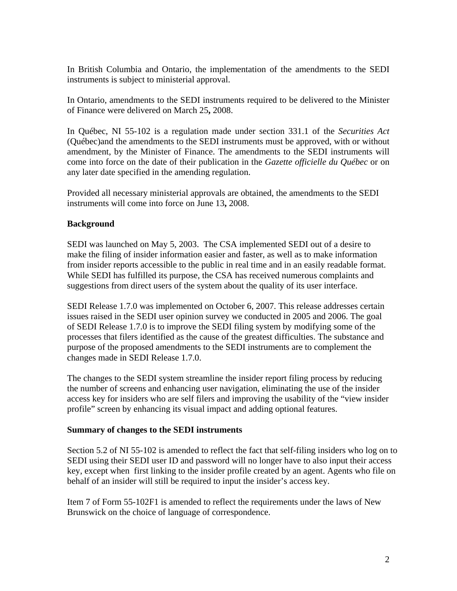In British Columbia and Ontario, the implementation of the amendments to the SEDI instruments is subject to ministerial approval.

In Ontario, amendments to the SEDI instruments required to be delivered to the Minister of Finance were delivered on March 25**,** 2008.

In Québec, NI 55-102 is a regulation made under section 331.1 of the *Securities Act* (Québec)and the amendments to the SEDI instruments must be approved, with or without amendment, by the Minister of Finance. The amendments to the SEDI instruments will come into force on the date of their publication in the *Gazette officielle du Québec* or on any later date specified in the amending regulation.

Provided all necessary ministerial approvals are obtained, the amendments to the SEDI instruments will come into force on June 13**,** 2008.

# **Background**

SEDI was launched on May 5, 2003. The CSA implemented SEDI out of a desire to make the filing of insider information easier and faster, as well as to make information from insider reports accessible to the public in real time and in an easily readable format. While SEDI has fulfilled its purpose, the CSA has received numerous complaints and suggestions from direct users of the system about the quality of its user interface.

SEDI Release 1.7.0 was implemented on October 6, 2007. This release addresses certain issues raised in the SEDI user opinion survey we conducted in 2005 and 2006. The goal of SEDI Release 1.7.0 is to improve the SEDI filing system by modifying some of the processes that filers identified as the cause of the greatest difficulties. The substance and purpose of the proposed amendments to the SEDI instruments are to complement the changes made in SEDI Release 1.7.0.

The changes to the SEDI system streamline the insider report filing process by reducing the number of screens and enhancing user navigation, eliminating the use of the insider access key for insiders who are self filers and improving the usability of the "view insider profile" screen by enhancing its visual impact and adding optional features.

# **Summary of changes to the SEDI instruments**

Section 5.2 of NI 55-102 is amended to reflect the fact that self-filing insiders who log on to SEDI using their SEDI user ID and password will no longer have to also input their access key, except when first linking to the insider profile created by an agent. Agents who file on behalf of an insider will still be required to input the insider's access key.

Item 7 of Form 55-102F1 is amended to reflect the requirements under the laws of New Brunswick on the choice of language of correspondence.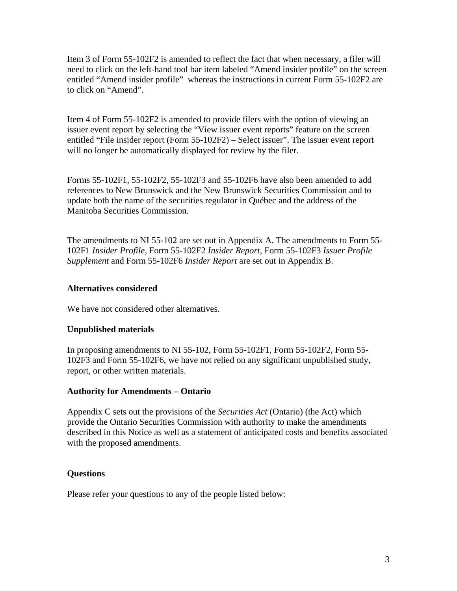Item 3 of Form 55-102F2 is amended to reflect the fact that when necessary, a filer will need to click on the left-hand tool bar item labeled "Amend insider profile" on the screen entitled "Amend insider profile" whereas the instructions in current Form 55-102F2 are to click on "Amend".

Item 4 of Form 55-102F2 is amended to provide filers with the option of viewing an issuer event report by selecting the "View issuer event reports" feature on the screen entitled "File insider report (Form 55-102F2) – Select issuer". The issuer event report will no longer be automatically displayed for review by the filer.

Forms 55-102F1, 55-102F2, 55-102F3 and 55-102F6 have also been amended to add references to New Brunswick and the New Brunswick Securities Commission and to update both the name of the securities regulator in Québec and the address of the Manitoba Securities Commission.

The amendments to NI 55-102 are set out in Appendix A. The amendments to Form 55- 102F1 *Insider Profile*, Form 55-102F2 *Insider Report*, Form 55-102F3 *Issuer Profile Supplement* and Form 55-102F6 *Insider Report* are set out in Appendix B.

#### **Alternatives considered**

We have not considered other alternatives.

## **Unpublished materials**

In proposing amendments to NI 55-102, Form 55-102F1, Form 55-102F2, Form 55- 102F3 and Form 55-102F6, we have not relied on any significant unpublished study, report, or other written materials.

## **Authority for Amendments – Ontario**

Appendix C sets out the provisions of the *Securities Act* (Ontario) (the Act) which provide the Ontario Securities Commission with authority to make the amendments described in this Notice as well as a statement of anticipated costs and benefits associated with the proposed amendments.

## **Questions**

Please refer your questions to any of the people listed below: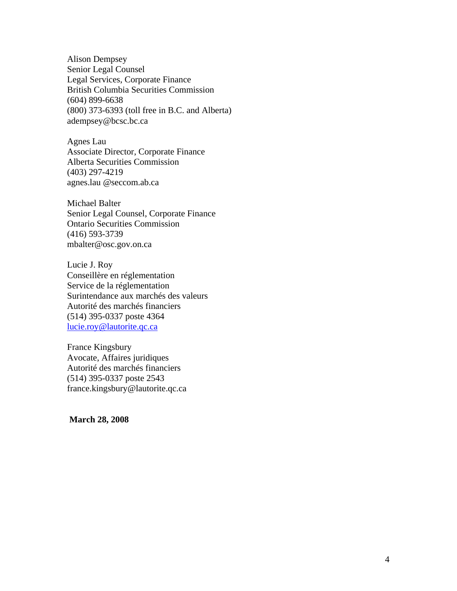Alison Dempsey Senior Legal Counsel Legal Services, Corporate Finance British Columbia Securities Commission (604) 899-6638 (800) 373-6393 (toll free in B.C. and Alberta) adempsey@bcsc.bc.ca

Agnes Lau Associate Director, Corporate Finance Alberta Securities Commission (403) 297-4219 agnes.lau @seccom.ab.ca

Michael Balter Senior Legal Counsel, Corporate Finance Ontario Securities Commission (416) 593-3739 mbalter@osc.gov.on.ca

Lucie J. Roy Conseillère en réglementation Service de la réglementation Surintendance aux marchés des valeurs Autorité des marchés financiers (514) 395-0337 poste 4364 lucie.roy@lautorite.qc.ca

France Kingsbury Avocate, Affaires juridiques Autorité des marchés financiers (514) 395-0337 poste 2543 france.kingsbury@lautorite.qc.ca

 **March 28, 2008**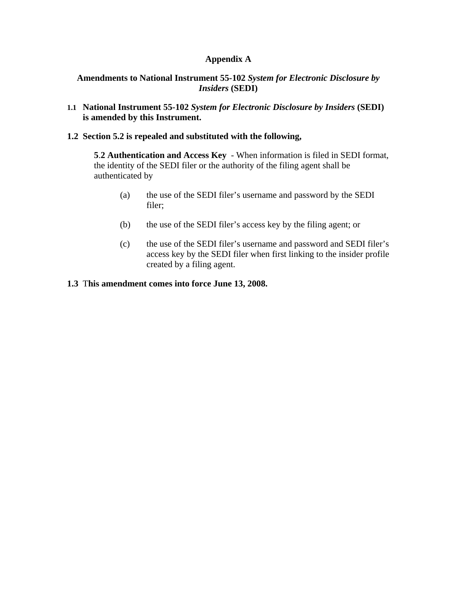## **Appendix A**

## **Amendments to National Instrument 55-102** *System for Electronic Disclosure by Insiders* **(SEDI)**

**1.1 National Instrument 55-102** *System for Electronic Disclosure by Insiders* **(SEDI) is amended by this Instrument.**

## **1.2 Section 5.2 is repealed and substituted with the following,**

**5**.**2 Authentication and Access Key** - When information is filed in SEDI format, the identity of the SEDI filer or the authority of the filing agent shall be authenticated by

- (a) the use of the SEDI filer's username and password by the SEDI filer;
- (b) the use of the SEDI filer's access key by the filing agent; or
- (c) the use of the SEDI filer's username and password and SEDI filer's access key by the SEDI filer when first linking to the insider profile created by a filing agent.

#### **1.3** T**his amendment comes into force June 13, 2008.**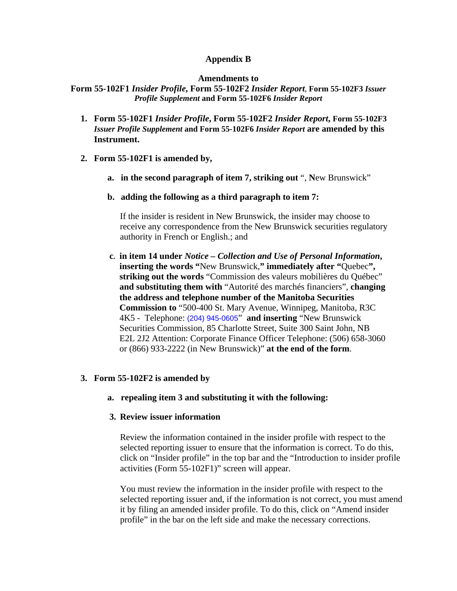#### **Appendix B**

#### **Amendments to**

**Form 55-102F1** *Insider Profile***, Form 55-102F2** *Insider Report*, **Form 55-102F3** *Issuer Profile Supplement* **and Form 55-102F6** *Insider Report*

- **1. Form 55-102F1** *Insider Profile***, Form 55-102F2** *Insider Report***, Form 55-102F3**  *Issuer Profile Supplement* **and Form 55-102F6** *Insider Report* **are amended by this Instrument.**
- **2. Form 55-102F1 is amended by,** 
	- **a. in the second paragraph of item 7, striking out** ", **N**ew Brunswick"
	- **b. adding the following as a third paragraph to item 7:**

If the insider is resident in New Brunswick, the insider may choose to receive any correspondence from the New Brunswick securities regulatory authority in French or English.; and

**c. in item 14 under** *Notice – Collection and Use of Personal Information***, inserting the words "**New Brunswick,**" immediately after "**Quebec**", striking out the words** "Commission des valeurs mobilières du Québec" **and substituting them with** "Autorité des marchés financiers", **changing the address and telephone number of the Manitoba Securities Commission to** "500-400 St. Mary Avenue, Winnipeg, Manitoba, R3C 4K5 - Telephone: (204) 945-0605" **and inserting** "New Brunswick Securities Commission, 85 Charlotte Street, Suite 300 Saint John, NB E2L 2J2 Attention: Corporate Finance Officer Telephone: (506) 658-3060 or (866) 933-2222 (in New Brunswick)" **at the end of the form**.

## **3. Form 55-102F2 is amended by**

**a. repealing item 3 and substituting it with the following:** 

#### **3. Review issuer information**

Review the information contained in the insider profile with respect to the selected reporting issuer to ensure that the information is correct. To do this, click on "Insider profile" in the top bar and the "Introduction to insider profile activities (Form 55-102F1)" screen will appear.

You must review the information in the insider profile with respect to the selected reporting issuer and, if the information is not correct, you must amend it by filing an amended insider profile. To do this, click on "Amend insider profile" in the bar on the left side and make the necessary corrections.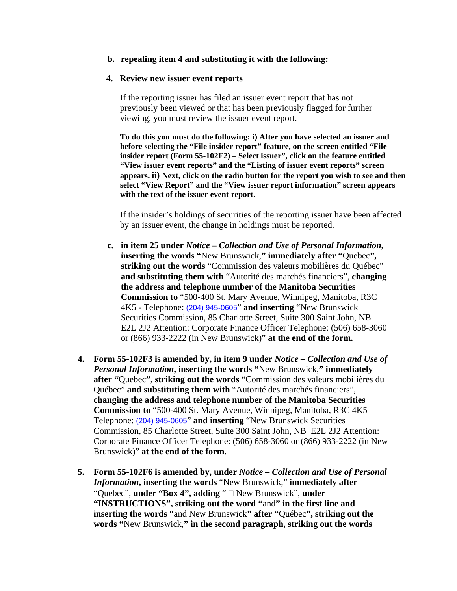#### **b. repealing item 4 and substituting it with the following:**

#### **4. Review new issuer event reports**

If the reporting issuer has filed an issuer event report that has not previously been viewed or that has been previously flagged for further viewing, you must review the issuer event report.

**To do this you must do the following: i) After you have selected an issuer and before selecting the "File insider report" feature, on the screen entitled "File insider report (Form 55-102F2) – Select issuer", click on the feature entitled "View issuer event reports" and the "Listing of issuer event reports" screen appears. ii) Next, click on the radio button for the report you wish to see and then select "View Report" and the "View issuer report information" screen appears with the text of the issuer event report.**

If the insider's holdings of securities of the reporting issuer have been affected by an issuer event, the change in holdings must be reported.

- **c. in item 25 under** *Notice Collection and Use of Personal Information***, inserting the words "**New Brunswick,**" immediately after "**Quebec**", striking out the words** "Commission des valeurs mobilières du Québec" **and substituting them with** "Autorité des marchés financiers", **changing the address and telephone number of the Manitoba Securities Commission to** "500-400 St. Mary Avenue, Winnipeg, Manitoba, R3C 4K5 - Telephone: (204) 945-0605" **and inserting** "New Brunswick Securities Commission, 85 Charlotte Street, Suite 300 Saint John, NB E2L 2J2 Attention: Corporate Finance Officer Telephone: (506) 658-3060 or (866) 933-2222 (in New Brunswick)" **at the end of the form.**
- **4. Form 55-102F3 is amended by, in item 9 under** *Notice Collection and Use of Personal Information***, inserting the words "**New Brunswick,**" immediately after "**Quebec**", striking out the words** "Commission des valeurs mobilières du Québec" **and substituting them with** "Autorité des marchés financiers", **changing the address and telephone number of the Manitoba Securities Commission to** "500-400 St. Mary Avenue, Winnipeg, Manitoba, R3C 4K5 – Telephone: (204) 945-0605" **and inserting** "New Brunswick Securities Commission, 85 Charlotte Street, Suite 300 Saint John, NB E2L 2J2 Attention: Corporate Finance Officer Telephone: (506) 658-3060 or (866) 933-2222 (in New Brunswick)" **at the end of the form**.
- **5. Form 55-102F6 is amended by, under** *Notice Collection and Use of Personal Information***, inserting the words** "New Brunswick," **immediately after** "Quebec", **under "Box 4", adding** " New Brunswick", **under "INSTRUCTIONS", striking out the word "**and**" in the first line and inserting the words "**and New Brunswick**" after "**Québec**", striking out the words "**New Brunswick,**" in the second paragraph, striking out the words**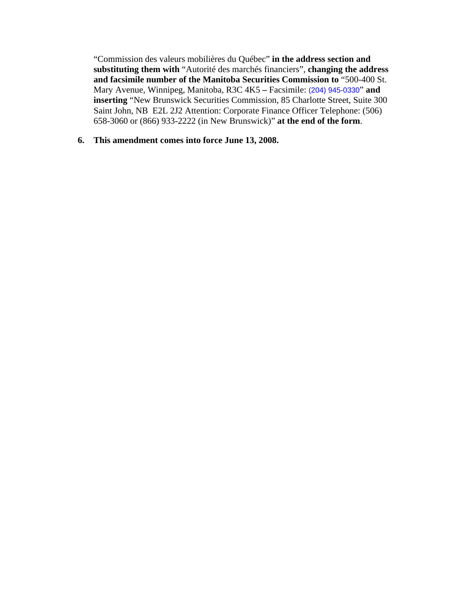"Commission des valeurs mobilières du Québec" **in the address section and substituting them with** "Autorité des marchés financiers", **changing the address and facsimile number of the Manitoba Securities Commission to** "500-400 St. Mary Avenue, Winnipeg, Manitoba, R3C 4K5 **–** Facsimile: (204) 945-0330" **and inserting** "New Brunswick Securities Commission, 85 Charlotte Street, Suite 300 Saint John, NB E2L 2J2 Attention: Corporate Finance Officer Telephone: (506) 658-3060 or (866) 933-2222 (in New Brunswick)" **at the end of the form**.

#### **6. This amendment comes into force June 13, 2008.**